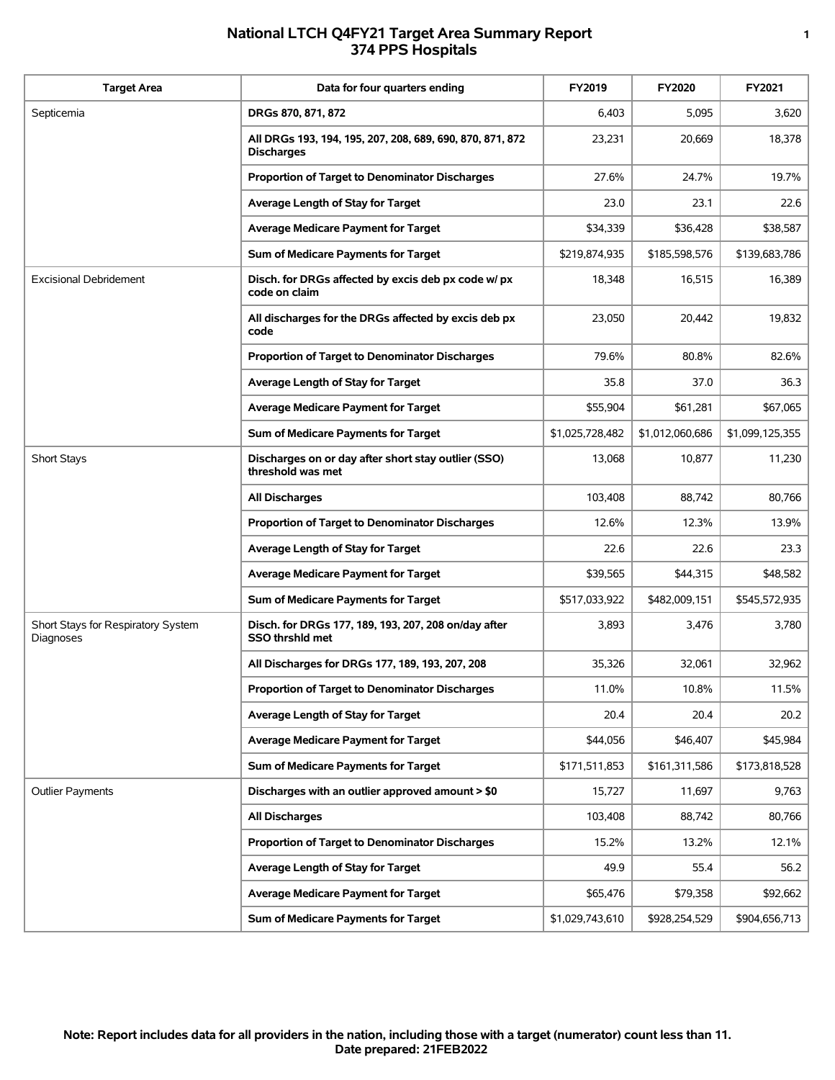## **National LTCH Q4FY21 Target Area Summary Report 1 374 PPS Hospitals**

| <b>Target Area</b>                              | Data for four quarters ending                                                  | FY2019          | <b>FY2020</b>   | FY2021          |
|-------------------------------------------------|--------------------------------------------------------------------------------|-----------------|-----------------|-----------------|
| Septicemia                                      | DRGs 870, 871, 872                                                             | 6,403           | 5,095           | 3,620           |
|                                                 | All DRGs 193, 194, 195, 207, 208, 689, 690, 870, 871, 872<br><b>Discharges</b> | 23,231          | 20,669          | 18,378          |
|                                                 | Proportion of Target to Denominator Discharges                                 | 27.6%           | 24.7%           | 19.7%           |
|                                                 | Average Length of Stay for Target                                              | 23.0            | 23.1            | 22.6            |
|                                                 | <b>Average Medicare Payment for Target</b>                                     | \$34,339        | \$36,428        | \$38,587        |
|                                                 | Sum of Medicare Payments for Target                                            | \$219,874,935   | \$185,598,576   | \$139,683,786   |
| <b>Excisional Debridement</b>                   | Disch. for DRGs affected by excis deb px code w/ px<br>code on claim           | 18,348          | 16,515          | 16,389          |
|                                                 | All discharges for the DRGs affected by excis deb px<br>code                   | 23,050          | 20,442          | 19,832          |
|                                                 | Proportion of Target to Denominator Discharges                                 | 79.6%           | 80.8%           | 82.6%           |
|                                                 | Average Length of Stay for Target                                              | 35.8            | 37.0            | 36.3            |
|                                                 | <b>Average Medicare Payment for Target</b>                                     | \$55,904        | \$61,281        | \$67,065        |
|                                                 | Sum of Medicare Payments for Target                                            | \$1,025,728,482 | \$1,012,060,686 | \$1,099,125,355 |
| <b>Short Stays</b>                              | Discharges on or day after short stay outlier (SSO)<br>threshold was met       | 13,068          | 10,877          | 11,230          |
|                                                 | All Discharges                                                                 | 103,408         | 88,742          | 80,766          |
|                                                 | Proportion of Target to Denominator Discharges                                 | 12.6%           | 12.3%           | 13.9%           |
|                                                 | Average Length of Stay for Target                                              | 22.6            | 22.6            | 23.3            |
|                                                 | <b>Average Medicare Payment for Target</b>                                     | \$39,565        | \$44,315        | \$48,582        |
|                                                 | Sum of Medicare Payments for Target                                            | \$517,033,922   | \$482,009,151   | \$545,572,935   |
| Short Stays for Respiratory System<br>Diagnoses | Disch. for DRGs 177, 189, 193, 207, 208 on/day after<br><b>SSO thrshid met</b> | 3,893           | 3,476           | 3,780           |
|                                                 | All Discharges for DRGs 177, 189, 193, 207, 208                                | 35,326          | 32,061          | 32,962          |
|                                                 | Proportion of Target to Denominator Discharges                                 | 11.0%           | 10.8%           | 11.5%           |
|                                                 | Average Length of Stay for Target                                              | 20.4            | 20.4            | 20.2            |
|                                                 | <b>Average Medicare Payment for Target</b>                                     | \$44,056        | \$46,407        | \$45,984        |
|                                                 | Sum of Medicare Payments for Target                                            | \$171,511,853   | \$161,311,586   | \$173,818,528   |
| <b>Outlier Payments</b>                         | Discharges with an outlier approved amount > \$0                               | 15,727          | 11,697          | 9,763           |
|                                                 | <b>All Discharges</b>                                                          | 103,408         | 88,742          | 80,766          |
|                                                 | Proportion of Target to Denominator Discharges                                 | 15.2%           | 13.2%           | 12.1%           |
|                                                 | Average Length of Stay for Target                                              | 49.9            | 55.4            | 56.2            |
|                                                 | Average Medicare Payment for Target                                            | \$65,476        | \$79,358        | \$92,662        |
|                                                 | Sum of Medicare Payments for Target                                            | \$1,029,743,610 | \$928,254,529   | \$904,656,713   |